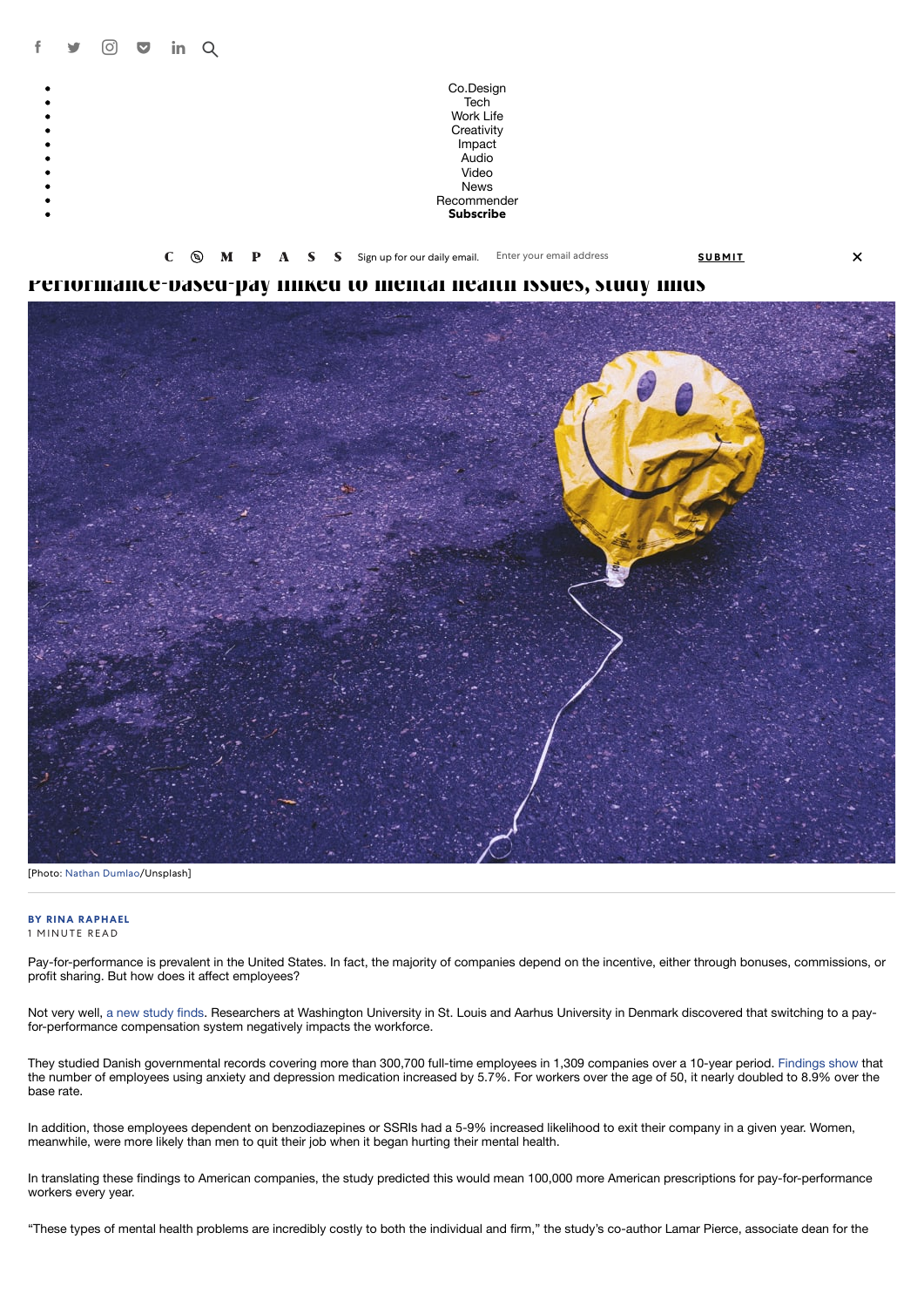

**[Performance-based-pay linked to mental health issues, study finds](https://www.fastcompany.com/90323137/performance-based-pay-linked-to-mental-health-issues-study-finds)**



 $\overline{\mathsf{x}}$ 

[Photo: [Nathan Dumlao](https://unsplash.com/photos/qDbnNDF2jZ4)/Unsplash]

## **[BY RINA RAPHAEL](https://www.fastcompany.com/user/rina-raphael)**

1 MINUTE READ

Pay-for-performance is prevalent in the United States. In fact, the majority of companies depend on the incentive, either through bonuses, commissions, or profit sharing. But how does it affect employees?

Not very well, [a new study finds.](https://source.wustl.edu/2019/03/performance-based-pay-linked-to-employee-mental-health-problems-study-shows/) Researchers at Washington University in St. Louis and Aarhus University in Denmark discovered that switching to a payfor-performance compensation system negatively impacts the workforce.

They studied Danish governmental records covering more than 300,700 full-time employees in 1,309 companies over a 10-year period. [Findings show](https://journals.aom.org/doi/10.5465/amd.2018.0007) that the number of employees using anxiety and depression medication increased by 5.7%. For workers over the age of 50, it nearly doubled to 8.9% over the base rate.

In addition, those employees dependent on benzodiazepines or SSRIs had a 5-9% increased likelihood to exit their company in a given year. Women, meanwhile, were more likely than men to quit their job when it began hurting their mental health.

In translating these findings to American companies, the study predicted this would mean 100,000 more American prescriptions for pay-for-performance workers every year.

"These types of mental health problems are incredibly costly to both the individual and firm," the study's co-author Lamar Pierce, associate dean for the